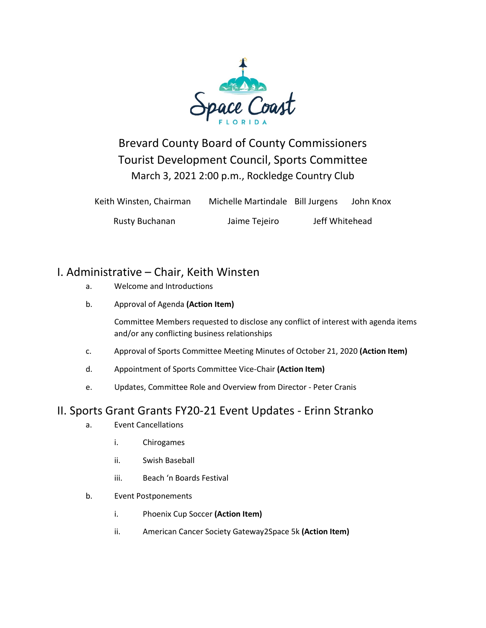

Brevard County Board of County Commissioners Tourist Development Council, Sports Committee March 3, 2021 2:00 p.m., Rockledge Country Club

| Keith Winsten, Chairman | Michelle Martindale Bill Jurgens |                | John Knox |
|-------------------------|----------------------------------|----------------|-----------|
| <b>Rusty Buchanan</b>   | Jaime Tejeiro                    | Jeff Whitehead |           |

## I. Administrative – Chair, Keith Winsten

- a. Welcome and Introductions
- b. Approval of Agenda **(Action Item)**

Committee Members requested to disclose any conflict of interest with agenda items and/or any conflicting business relationships

- c. Approval of Sports Committee Meeting Minutes of October 21, 2020 **(Action Item)**
- d. Appointment of Sports Committee Vice-Chair **(Action Item)**
- e. Updates, Committee Role and Overview from Director Peter Cranis

## II. Sports Grant Grants FY20-21 Event Updates - Erinn Stranko

- a. Event Cancellations
	- i. Chirogames
	- ii. Swish Baseball
	- iii. Beach 'n Boards Festival
- b. Event Postponements
	- i. Phoenix Cup Soccer **(Action Item)**
	- ii. American Cancer Society Gateway2Space 5k **(Action Item)**